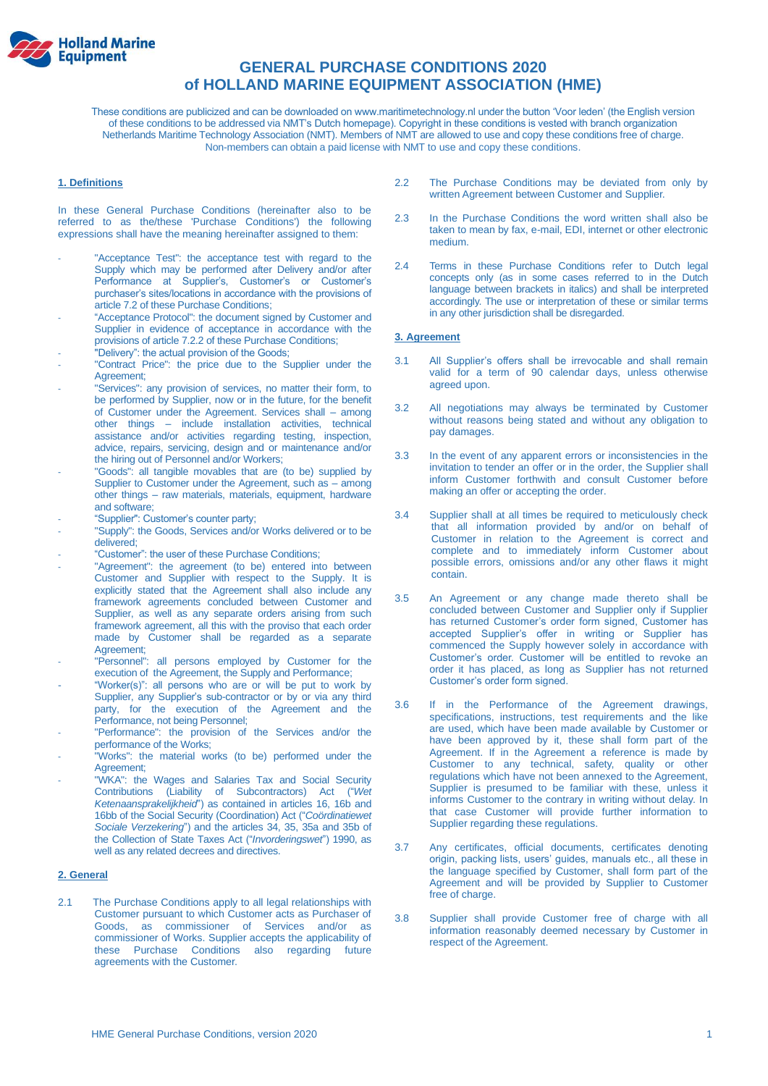

# **GENERAL PURCHASE CONDITIONS 2020 of HOLLAND MARINE EQUIPMENT ASSOCIATION (HME)**

These conditions are publicized and can be downloaded on www.maritimetechnology.nl under the button 'Voor leden' (the English version of these conditions to be addressed via NMT's Dutch homepage). Copyright in these conditions is vested with branch organization Netherlands Maritime Technology Association (NMT). Members of NMT are allowed to use and copy these conditions free of charge. Non-members can obtain a paid license with NMT to use and copy these conditions.

# **1. Definitions**

In these General Purchase Conditions (hereinafter also to be referred to as the/these 'Purchase Conditions') the following expressions shall have the meaning hereinafter assigned to them:

- "Acceptance Test": the acceptance test with regard to the Supply which may be performed after Delivery and/or after Performance at Supplier's, Customer's or Customer's purchaser's sites/locations in accordance with the provisions of article 7.2 of these Purchase Conditions;
- "Acceptance Protocol": the document signed by Customer and Supplier in evidence of acceptance in accordance with the provisions of article 7.2.2 of these Purchase Conditions;
- "Delivery": the actual provision of the Goods;
- "Contract Price": the price due to the Supplier under the Agreement;
- "Services": any provision of services, no matter their form, to be performed by Supplier, now or in the future, for the benefit of Customer under the Agreement. Services shall – among other things – include installation activities, technical assistance and/or activities regarding testing, inspection, advice, repairs, servicing, design and or maintenance and/or the hiring out of Personnel and/or Workers;
- "Goods": all tangible movables that are (to be) supplied by Supplier to Customer under the Agreement, such as – among other things – raw materials, materials, equipment, hardware and software;
- "Supplier": Customer's counter party;
- "Supply": the Goods, Services and/or Works delivered or to be delivered;
- "Customer": the user of these Purchase Conditions;
- "Agreement": the agreement (to be) entered into between Customer and Supplier with respect to the Supply. It is explicitly stated that the Agreement shall also include any framework agreements concluded between Customer and Supplier, as well as any separate orders arising from such framework agreement, all this with the proviso that each order made by Customer shall be regarded as a separate Agreement;
- "Personnel": all persons employed by Customer for the execution of the Agreement, the Supply and Performance;
- "Worker(s)": all persons who are or will be put to work by Supplier, any Supplier's sub-contractor or by or via any third party, for the execution of the Agreement and the Performance, not being Personnel;
- "Performance": the provision of the Services and/or the performance of the Works;
- .<br>"Works": the material works (to be) performed under the Agreement;
- "WKA": the Wages and Salaries Tax and Social Security Contributions (Liability of Subcontractors) Act ("*Wet Ketenaansprakelijkheid*") as contained in articles 16, 16b and 16bb of the Social Security (Coordination) Act ("*Coördinatiewet Sociale Verzekering*") and the articles 34, 35, 35a and 35b of the Collection of State Taxes Act ("*Invorderingswet*") 1990, as well as any related decrees and directives.

### **2. General**

2.1 The Purchase Conditions apply to all legal relationships with Customer pursuant to which Customer acts as Purchaser of Goods, as commissioner of Services and/or as commissioner of Works. Supplier accepts the applicability of these Purchase Conditions also regarding future agreements with the Customer.

- 2.2 The Purchase Conditions may be deviated from only by written Agreement between Customer and Supplier.
- 2.3 In the Purchase Conditions the word written shall also be taken to mean by fax, e-mail, EDI, internet or other electronic medium.
- 2.4 Terms in these Purchase Conditions refer to Dutch legal concepts only (as in some cases referred to in the Dutch language between brackets in italics) and shall be interpreted accordingly. The use or interpretation of these or similar terms in any other jurisdiction shall be disregarded.

### **3. Agreement**

- 3.1 All Supplier's offers shall be irrevocable and shall remain valid for a term of 90 calendar days, unless otherwise agreed upon.
- 3.2 All negotiations may always be terminated by Customer without reasons being stated and without any obligation to pay damages.
- 3.3 In the event of any apparent errors or inconsistencies in the invitation to tender an offer or in the order, the Supplier shall inform Customer forthwith and consult Customer before making an offer or accepting the order.
- 3.4 Supplier shall at all times be required to meticulously check that all information provided by and/or on behalf of Customer in relation to the Agreement is correct and complete and to immediately inform Customer about possible errors, omissions and/or any other flaws it might contain.
- 3.5 An Agreement or any change made thereto shall be concluded between Customer and Supplier only if Supplier has returned Customer's order form signed, Customer has accepted Supplier's offer in writing or Supplier has commenced the Supply however solely in accordance with Customer's order. Customer will be entitled to revoke an order it has placed, as long as Supplier has not returned Customer's order form signed.
- 3.6 If in the Performance of the Agreement drawings, specifications, instructions, test requirements and the like are used, which have been made available by Customer or have been approved by it, these shall form part of the Agreement. If in the Agreement a reference is made by Customer to any technical, safety, quality or other regulations which have not been annexed to the Agreement, Supplier is presumed to be familiar with these, unless it informs Customer to the contrary in writing without delay. In that case Customer will provide further information to Supplier regarding these regulations.
- 3.7 Any certificates, official documents, certificates denoting origin, packing lists, users' guides, manuals etc., all these in the language specified by Customer, shall form part of the Agreement and will be provided by Supplier to Customer free of charge.
- 3.8 Supplier shall provide Customer free of charge with all information reasonably deemed necessary by Customer in respect of the Agreement.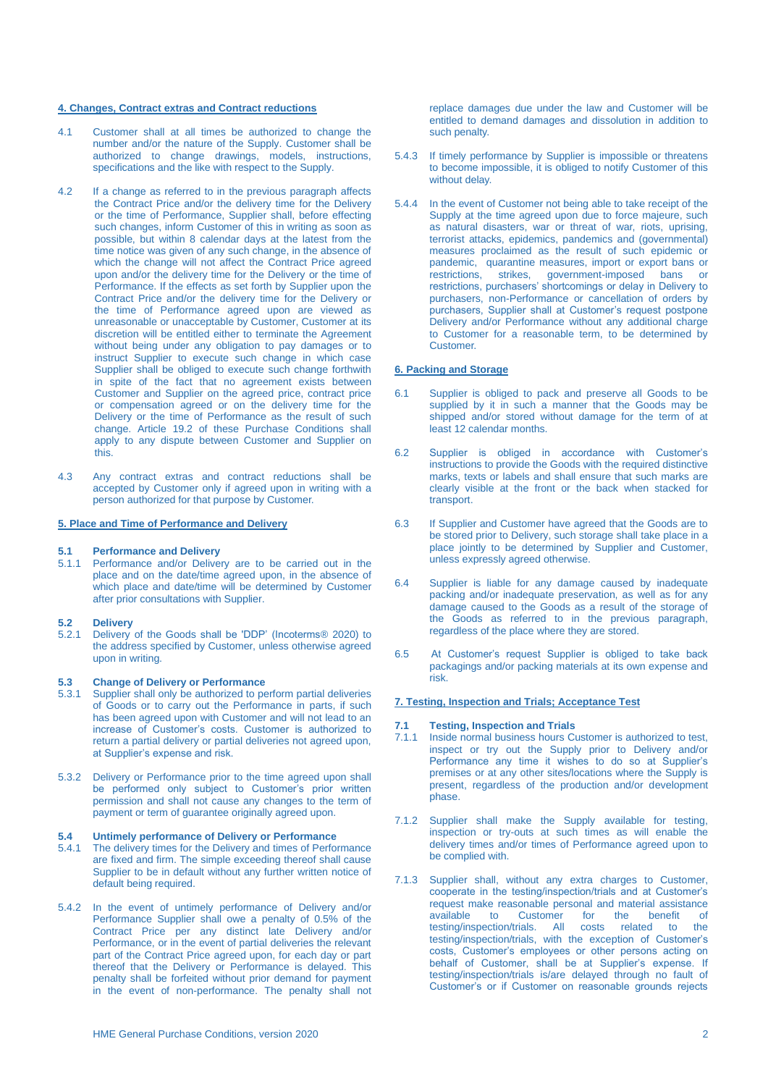## **4. Changes, Contract extras and Contract reductions**

- 4.1 Customer shall at all times be authorized to change the number and/or the nature of the Supply. Customer shall be authorized to change drawings, models, instructions, specifications and the like with respect to the Supply.
- 4.2 If a change as referred to in the previous paragraph affects the Contract Price and/or the delivery time for the Delivery or the time of Performance, Supplier shall, before effecting such changes, inform Customer of this in writing as soon as possible, but within 8 calendar days at the latest from the time notice was given of any such change, in the absence of which the change will not affect the Contract Price agreed upon and/or the delivery time for the Delivery or the time of Performance. If the effects as set forth by Supplier upon the Contract Price and/or the delivery time for the Delivery or the time of Performance agreed upon are viewed as unreasonable or unacceptable by Customer, Customer at its discretion will be entitled either to terminate the Agreement without being under any obligation to pay damages or to instruct Supplier to execute such change in which case Supplier shall be obliged to execute such change forthwith in spite of the fact that no agreement exists between Customer and Supplier on the agreed price, contract price or compensation agreed or on the delivery time for the Delivery or the time of Performance as the result of such change. Article 19.2 of these Purchase Conditions shall apply to any dispute between Customer and Supplier on this.
- 4.3 Any contract extras and contract reductions shall be accepted by Customer only if agreed upon in writing with a person authorized for that purpose by Customer.

### **5. Place and Time of Performance and Delivery**

#### **5.1 Performance and Delivery**

5.1.1 Performance and/or Delivery are to be carried out in the place and on the date/time agreed upon, in the absence of which place and date/time will be determined by Customer after prior consultations with Supplier.

# **5.2 Delivery**

5.2.1 Delivery of the Goods shall be 'DDP' (Incoterms® 2020) to the address specified by Customer, unless otherwise agreed upon in writing.

# **5.3 Change of Delivery or Performance**

- Supplier shall only be authorized to perform partial deliveries of Goods or to carry out the Performance in parts, if such has been agreed upon with Customer and will not lead to an increase of Customer's costs. Customer is authorized to return a partial delivery or partial deliveries not agreed upon, at Supplier's expense and risk.
- 5.3.2 Delivery or Performance prior to the time agreed upon shall be performed only subject to Customer's prior written permission and shall not cause any changes to the term of payment or term of quarantee originally agreed upon.

# **5.4 Untimely performance of Delivery or Performance**

- The delivery times for the Delivery and times of Performance are fixed and firm. The simple exceeding thereof shall cause Supplier to be in default without any further written notice of default being required.
- 5.4.2 In the event of untimely performance of Delivery and/or Performance Supplier shall owe a penalty of 0.5% of the Contract Price per any distinct late Delivery and/or Performance, or in the event of partial deliveries the relevant part of the Contract Price agreed upon, for each day or part thereof that the Delivery or Performance is delayed. This penalty shall be forfeited without prior demand for payment in the event of non-performance. The penalty shall not

replace damages due under the law and Customer will be entitled to demand damages and dissolution in addition to such penalty.

- 5.4.3 If timely performance by Supplier is impossible or threatens to become impossible, it is obliged to notify Customer of this without delay.
- 5.4.4 In the event of Customer not being able to take receipt of the Supply at the time agreed upon due to force majeure, such as natural disasters, war or threat of war, riots, uprising, terrorist attacks, epidemics, pandemics and (governmental) measures proclaimed as the result of such epidemic or pandemic, quarantine measures, import or export bans or restrictions, strikes, government-imposed bans or restrictions, purchasers' shortcomings or delay in Delivery to purchasers, non-Performance or cancellation of orders by purchasers, Supplier shall at Customer's request postpone Delivery and/or Performance without any additional charge to Customer for a reasonable term, to be determined by Customer.

#### **6. Packing and Storage**

- 6.1 Supplier is obliged to pack and preserve all Goods to be supplied by it in such a manner that the Goods may be shipped and/or stored without damage for the term of at least 12 calendar months.
- 6.2 Supplier is obliged in accordance with Customer's instructions to provide the Goods with the required distinctive marks, texts or labels and shall ensure that such marks are clearly visible at the front or the back when stacked for transport.
- 6.3 If Supplier and Customer have agreed that the Goods are to be stored prior to Delivery, such storage shall take place in a place jointly to be determined by Supplier and Customer, unless expressly agreed otherwise.
- 6.4 Supplier is liable for any damage caused by inadequate packing and/or inadequate preservation, as well as for any damage caused to the Goods as a result of the storage of the Goods as referred to in the previous paragraph, regardless of the place where they are stored.
- 6.5 At Customer's request Supplier is obliged to take back packagings and/or packing materials at its own expense and risk.

## **7. Testing, Inspection and Trials; Acceptance Test**

# **7.1 Testing, Inspection and Trials**

- Inside normal business hours Customer is authorized to test, inspect or try out the Supply prior to Delivery and/or Performance any time it wishes to do so at Supplier's premises or at any other sites/locations where the Supply is present, regardless of the production and/or development phase.
- 7.1.2 Supplier shall make the Supply available for testing, inspection or try-outs at such times as will enable the delivery times and/or times of Performance agreed upon to be complied with.
- 7.1.3 Supplier shall, without any extra charges to Customer, cooperate in the testing/inspection/trials and at Customer's request make reasonable personal and material assistance<br>available to Customer for the benefit of Customer for the benefit testing/inspection/trials. All costs related to the testing/inspection/trials, with the exception of Customer's costs, Customer's employees or other persons acting on behalf of Customer, shall be at Supplier's expense. If testing/inspection/trials is/are delayed through no fault of Customer's or if Customer on reasonable grounds rejects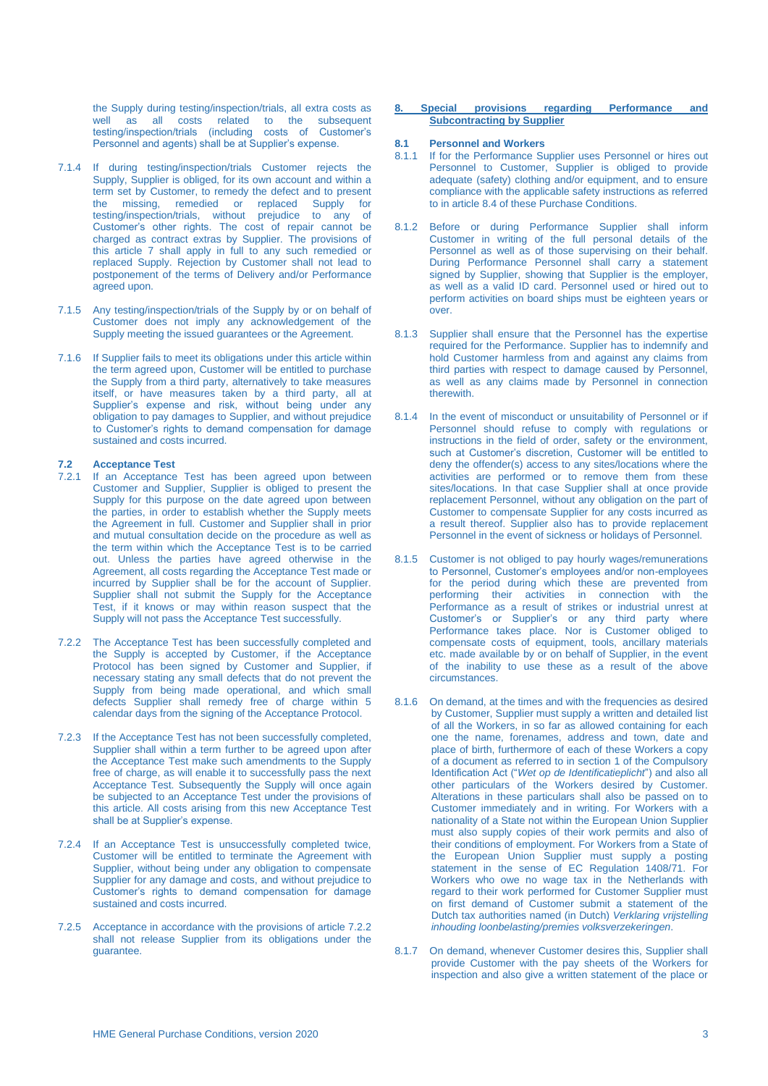the Supply during testing/inspection/trials, all extra costs as well as all costs related to the subsequent testing/inspection/trials (including costs of Customer's Personnel and agents) shall be at Supplier's expense.

- 7.1.4 If during testing/inspection/trials Customer rejects the Supply, Supplier is obliged, for its own account and within a term set by Customer, to remedy the defect and to present the missing, remedied or replaced Supply for testing/inspection/trials, without prejudice to any of Customer's other rights. The cost of repair cannot be charged as contract extras by Supplier. The provisions of this article 7 shall apply in full to any such remedied or replaced Supply. Rejection by Customer shall not lead to postponement of the terms of Delivery and/or Performance agreed upon.
- 7.1.5 Any testing/inspection/trials of the Supply by or on behalf of Customer does not imply any acknowledgement of the Supply meeting the issued guarantees or the Agreement.
- 7.1.6 If Supplier fails to meet its obligations under this article within the term agreed upon, Customer will be entitled to purchase the Supply from a third party, alternatively to take measures itself, or have measures taken by a third party, all at Supplier's expense and risk, without being under any obligation to pay damages to Supplier, and without prejudice to Customer's rights to demand compensation for damage sustained and costs incurred.

### **7.2 Acceptance Test**

- 7.2.1 If an Acceptance Test has been agreed upon between Customer and Supplier, Supplier is obliged to present the Supply for this purpose on the date agreed upon between the parties, in order to establish whether the Supply meets the Agreement in full. Customer and Supplier shall in prior and mutual consultation decide on the procedure as well as the term within which the Acceptance Test is to be carried out. Unless the parties have agreed otherwise in the Agreement, all costs regarding the Acceptance Test made or incurred by Supplier shall be for the account of Supplier. Supplier shall not submit the Supply for the Acceptance Test, if it knows or may within reason suspect that the Supply will not pass the Acceptance Test successfully.
- 7.2.2 The Acceptance Test has been successfully completed and the Supply is accepted by Customer, if the Acceptance Protocol has been signed by Customer and Supplier, if necessary stating any small defects that do not prevent the Supply from being made operational, and which small defects Supplier shall remedy free of charge within 5 calendar days from the signing of the Acceptance Protocol.
- 7.2.3 If the Acceptance Test has not been successfully completed, Supplier shall within a term further to be agreed upon after the Acceptance Test make such amendments to the Supply free of charge, as will enable it to successfully pass the next Acceptance Test. Subsequently the Supply will once again be subjected to an Acceptance Test under the provisions of this article. All costs arising from this new Acceptance Test shall be at Supplier's expense.
- 7.2.4 If an Acceptance Test is unsuccessfully completed twice, Customer will be entitled to terminate the Agreement with Supplier, without being under any obligation to compensate Supplier for any damage and costs, and without prejudice to Customer's rights to demand compensation for damage sustained and costs incurred.
- 7.2.5 Acceptance in accordance with the provisions of article 7.2.2 shall not release Supplier from its obligations under the guarantee.

### **8. Special provisions regarding Performance and Subcontracting by Supplier**

# **8.1 Personnel and Workers**

- If for the Performance Supplier uses Personnel or hires out Personnel to Customer, Supplier is obliged to provide adequate (safety) clothing and/or equipment, and to ensure compliance with the applicable safety instructions as referred to in article 8.4 of these Purchase Conditions.
- 8.1.2 Before or during Performance Supplier shall inform Customer in writing of the full personal details of the Personnel as well as of those supervising on their behalf. During Performance Personnel shall carry a statement signed by Supplier, showing that Supplier is the employer, as well as a valid ID card. Personnel used or hired out to perform activities on board ships must be eighteen years or over.
- 8.1.3 Supplier shall ensure that the Personnel has the expertise required for the Performance. Supplier has to indemnify and hold Customer harmless from and against any claims from third parties with respect to damage caused by Personnel, as well as any claims made by Personnel in connection therewith.
- 8.1.4 In the event of misconduct or unsuitability of Personnel or if Personnel should refuse to comply with regulations or instructions in the field of order, safety or the environment, such at Customer's discretion, Customer will be entitled to deny the offender(s) access to any sites/locations where the activities are performed or to remove them from these sites/locations. In that case Supplier shall at once provide replacement Personnel, without any obligation on the part of Customer to compensate Supplier for any costs incurred as a result thereof. Supplier also has to provide replacement Personnel in the event of sickness or holidays of Personnel.
- 8.1.5 Customer is not obliged to pay hourly wages/remunerations to Personnel, Customer's employees and/or non-employees for the period during which these are prevented from performing their activities in connection with the Performance as a result of strikes or industrial unrest at Customer's or Supplier's or any third party where Performance takes place. Nor is Customer obliged to compensate costs of equipment, tools, ancillary materials etc. made available by or on behalf of Supplier, in the event of the inability to use these as a result of the above circumstances.
- 8.1.6 On demand, at the times and with the frequencies as desired by Customer, Supplier must supply a written and detailed list of all the Workers, in so far as allowed containing for each one the name, forenames, address and town, date and place of birth, furthermore of each of these Workers a copy of a document as referred to in section 1 of the Compulsory Identification Act ("*Wet op de Identificatieplicht*") and also all other particulars of the Workers desired by Customer. Alterations in these particulars shall also be passed on to Customer immediately and in writing. For Workers with a nationality of a State not within the European Union Supplier must also supply copies of their work permits and also of their conditions of employment. For Workers from a State of the European Union Supplier must supply a posting statement in the sense of EC Regulation 1408/71. For Workers who owe no wage tax in the Netherlands with regard to their work performed for Customer Supplier must on first demand of Customer submit a statement of the Dutch tax authorities named (in Dutch) *Verklaring vrijstelling inhouding loonbelasting/premies volksverzekeringen*.
- 8.1.7 On demand, whenever Customer desires this, Supplier shall provide Customer with the pay sheets of the Workers for inspection and also give a written statement of the place or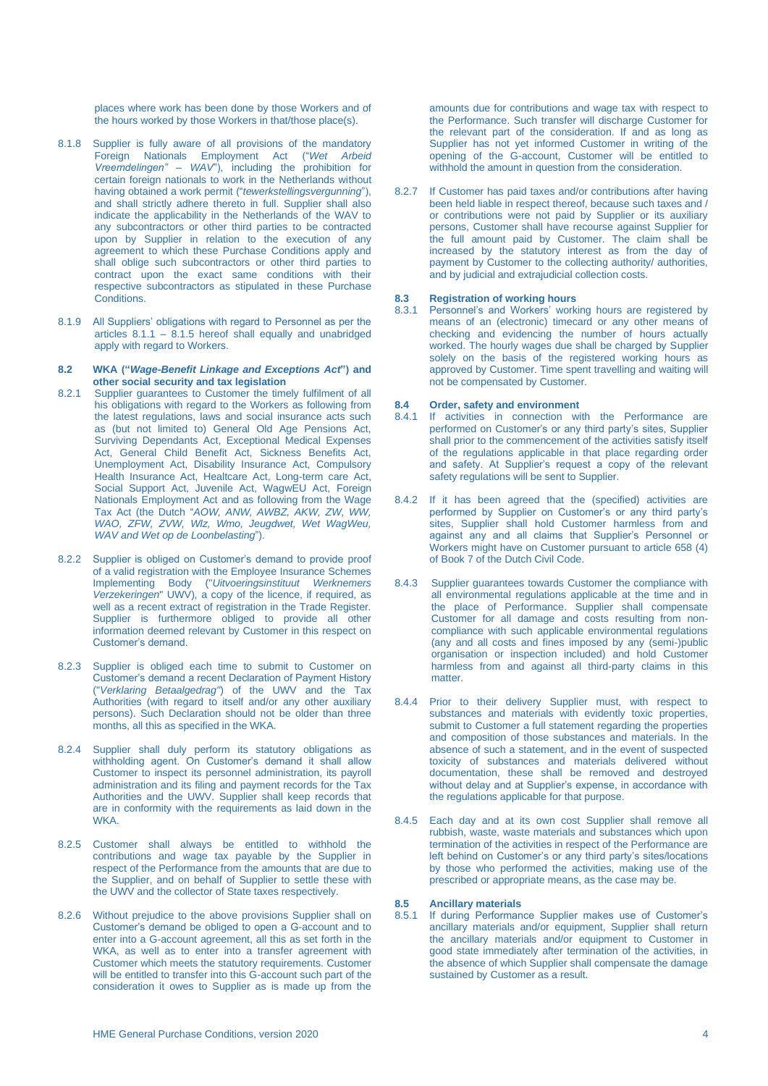places where work has been done by those Workers and of the hours worked by those Workers in that/those place(s).

- 8.1.8 Supplier is fully aware of all provisions of the mandatory Foreign Nationals Employment Act ("*Wet Arbeid Vreemdelingen" – WAV*"), including the prohibition for certain foreign nationals to work in the Netherlands without having obtained a work permit ("*tewerkstellingsvergunning*"), and shall strictly adhere thereto in full. Supplier shall also indicate the applicability in the Netherlands of the WAV to any subcontractors or other third parties to be contracted upon by Supplier in relation to the execution of any agreement to which these Purchase Conditions apply and shall oblige such subcontractors or other third parties to contract upon the exact same conditions with their respective subcontractors as stipulated in these Purchase Conditions.
- 8.1.9 All Suppliers' obligations with regard to Personnel as per the articles  $8.1.1 - 8.1.5$  hereof shall equally and unabridged apply with regard to Workers.

#### **8.2 WKA ("***Wage-Benefit Linkage and Exceptions Act***") and other social security and tax legislation**

- 8.2.1 Supplier guarantees to Customer the timely fulfilment of all his obligations with regard to the Workers as following from the latest regulations, laws and social insurance acts such as (but not limited to) General Old Age Pensions Act, Surviving Dependants Act, Exceptional Medical Expenses Act, General Child Benefit Act, Sickness Benefits Act, Unemployment Act, Disability Insurance Act, Compulsory Health Insurance Act, Healtcare Act, Long-term care Act, Social Support Act, Juvenile Act, WagwEU Act, Foreign Nationals Employment Act and as following from the Wage Tax Act (the Dutch "*AOW, ANW, AWBZ, AKW, ZW, WW, WAO, ZFW, ZVW, Wlz, Wmo, Jeugdwet, Wet WagWeu, WAV and Wet op de Loonbelasting*").
- 8.2.2 Supplier is obliged on Customer's demand to provide proof of a valid registration with the Employee Insurance Schemes Implementing Body ("*Uitvoeringsinstituut Werknemers Verzekeringen*" UWV), a copy of the licence, if required, as well as a recent extract of registration in the Trade Register. Supplier is furthermore obliged to provide all other information deemed relevant by Customer in this respect on Customer's demand.
- 8.2.3 Supplier is obliged each time to submit to Customer on Customer's demand a recent Declaration of Payment History ("*Verklaring Betaalgedrag"*) of the UWV and the Tax Authorities (with regard to itself and/or any other auxiliary persons). Such Declaration should not be older than three months, all this as specified in the WKA.
- 8.2.4 Supplier shall duly perform its statutory obligations as withholding agent. On Customer's demand it shall allow Customer to inspect its personnel administration, its payroll administration and its filing and payment records for the Tax Authorities and the UWV. Supplier shall keep records that are in conformity with the requirements as laid down in the WKA.
- 8.2.5 Customer shall always be entitled to withhold the contributions and wage tax payable by the Supplier in respect of the Performance from the amounts that are due to the Supplier, and on behalf of Supplier to settle these with the UWV and the collector of State taxes respectively.
- 8.2.6 Without prejudice to the above provisions Supplier shall on Customer's demand be obliged to open a G-account and to enter into a G-account agreement, all this as set forth in the WKA, as well as to enter into a transfer agreement with Customer which meets the statutory requirements. Customer will be entitled to transfer into this G-account such part of the consideration it owes to Supplier as is made up from the

amounts due for contributions and wage tax with respect to the Performance. Such transfer will discharge Customer for the relevant part of the consideration. If and as long as Supplier has not yet informed Customer in writing of the opening of the G-account, Customer will be entitled to withhold the amount in question from the consideration.

8.2.7 If Customer has paid taxes and/or contributions after having been held liable in respect thereof, because such taxes and / or contributions were not paid by Supplier or its auxiliary persons, Customer shall have recourse against Supplier for the full amount paid by Customer. The claim shall be increased by the statutory interest as from the day of payment by Customer to the collecting authority/ authorities, and by judicial and extrajudicial collection costs.

### **8.3 Registration of working hours**

8.3.1 Personnel's and Workers' working hours are registered by means of an (electronic) timecard or any other means of checking and evidencing the number of hours actually worked. The hourly wages due shall be charged by Supplier solely on the basis of the registered working hours as approved by Customer. Time spent travelling and waiting will not be compensated by Customer.

# 8.4 **Order, safety and environment**<br>8.4.1 If activities in connection with

- 8.4.1 If activities in connection with the Performance are performed on Customer's or any third party's sites, Supplier shall prior to the commencement of the activities satisfy itself of the regulations applicable in that place regarding order and safety. At Supplier's request a copy of the relevant safety regulations will be sent to Supplier.
- 8.4.2 If it has been agreed that the (specified) activities are performed by Supplier on Customer's or any third party's sites, Supplier shall hold Customer harmless from and against any and all claims that Supplier's Personnel or Workers might have on Customer pursuant to article 658 (4) of Book 7 of the Dutch Civil Code.
- 8.4.3 Supplier guarantees towards Customer the compliance with all environmental regulations applicable at the time and in the place of Performance. Supplier shall compensate Customer for all damage and costs resulting from noncompliance with such applicable environmental regulations (any and all costs and fines imposed by any (semi-)public organisation or inspection included) and hold Customer harmless from and against all third-party claims in this matter.
- 8.4.4 Prior to their delivery Supplier must, with respect to substances and materials with evidently toxic properties, submit to Customer a full statement regarding the properties and composition of those substances and materials. In the absence of such a statement, and in the event of suspected toxicity of substances and materials delivered without documentation, these shall be removed and destroyed without delay and at Supplier's expense, in accordance with the regulations applicable for that purpose.
- 8.4.5 Each day and at its own cost Supplier shall remove all rubbish, waste, waste materials and substances which upon termination of the activities in respect of the Performance are left behind on Customer's or any third party's sites/locations by those who performed the activities, making use of the prescribed or appropriate means, as the case may be.

# **8.5 Ancillary materials**

If during Performance Supplier makes use of Customer's ancillary materials and/or equipment. Supplier shall return the ancillary materials and/or equipment to Customer in good state immediately after termination of the activities, in the absence of which Supplier shall compensate the damage sustained by Customer as a result.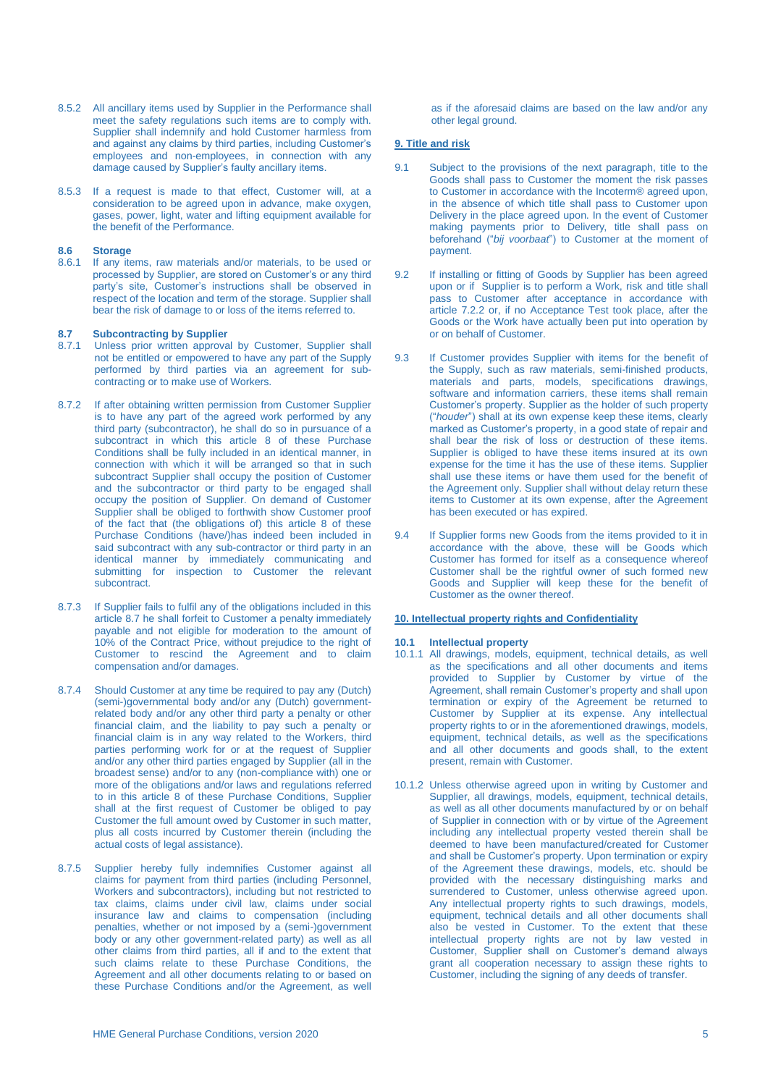- 8.5.2 All ancillary items used by Supplier in the Performance shall meet the safety regulations such items are to comply with. Supplier shall indemnify and hold Customer harmless from and against any claims by third parties, including Customer's employees and non-employees, in connection with any damage caused by Supplier's faulty ancillary items.
- 8.5.3 If a request is made to that effect, Customer will, at a consideration to be agreed upon in advance, make oxygen, gases, power, light, water and lifting equipment available for the benefit of the Performance.

# **8.6 Storage**

If any items, raw materials and/or materials, to be used or processed by Supplier, are stored on Customer's or any third party's site, Customer's instructions shall be observed in respect of the location and term of the storage. Supplier shall bear the risk of damage to or loss of the items referred to.

# **8.7 • Subcontracting by Supplier**<br>**8.7.1** Unless prior written approva

- Unless prior written approval by Customer, Supplier shall not be entitled or empowered to have any part of the Supply performed by third parties via an agreement for subcontracting or to make use of Workers.
- 8.7.2 If after obtaining written permission from Customer Supplier is to have any part of the agreed work performed by any third party (subcontractor), he shall do so in pursuance of a subcontract in which this article 8 of these Purchase Conditions shall be fully included in an identical manner, in connection with which it will be arranged so that in such subcontract Supplier shall occupy the position of Customer and the subcontractor or third party to be engaged shall occupy the position of Supplier. On demand of Customer Supplier shall be obliged to forthwith show Customer proof of the fact that (the obligations of) this article 8 of these Purchase Conditions (have/)has indeed been included in said subcontract with any sub-contractor or third party in an identical manner by immediately communicating and submitting for inspection to Customer the relevant subcontract.
- 8.7.3 If Supplier fails to fulfil any of the obligations included in this article 8.7 he shall forfeit to Customer a penalty immediately payable and not eligible for moderation to the amount of 10% of the Contract Price, without prejudice to the right of Customer to rescind the Agreement and to claim compensation and/or damages.
- 8.7.4 Should Customer at any time be required to pay any (Dutch) (semi-)governmental body and/or any (Dutch) governmentrelated body and/or any other third party a penalty or other financial claim, and the liability to pay such a penalty or financial claim is in any way related to the Workers, third parties performing work for or at the request of Supplier and/or any other third parties engaged by Supplier (all in the broadest sense) and/or to any (non-compliance with) one or more of the obligations and/or laws and regulations referred to in this article 8 of these Purchase Conditions, Supplier shall at the first request of Customer be obliged to pay Customer the full amount owed by Customer in such matter, plus all costs incurred by Customer therein (including the actual costs of legal assistance).
- 8.7.5 Supplier hereby fully indemnifies Customer against all claims for payment from third parties (including Personnel, Workers and subcontractors), including but not restricted to tax claims, claims under civil law, claims under social insurance law and claims to compensation (including penalties, whether or not imposed by a (semi-)government body or any other government-related party) as well as all other claims from third parties, all if and to the extent that such claims relate to these Purchase Conditions, the Agreement and all other documents relating to or based on these Purchase Conditions and/or the Agreement, as well

as if the aforesaid claims are based on the law and/or any other legal ground.

### **9. Title and risk**

- 9.1 Subject to the provisions of the next paragraph, title to the Goods shall pass to Customer the moment the risk passes to Customer in accordance with the Incoterm® agreed upon, in the absence of which title shall pass to Customer upon Delivery in the place agreed upon. In the event of Customer making payments prior to Delivery, title shall pass on beforehand ("*bij voorbaat*") to Customer at the moment of payment.
- 9.2 If installing or fitting of Goods by Supplier has been agreed upon or if Supplier is to perform a Work, risk and title shall pass to Customer after acceptance in accordance with article 7.2.2 or, if no Acceptance Test took place, after the Goods or the Work have actually been put into operation by or on behalf of Customer.
- 9.3 If Customer provides Supplier with items for the benefit of the Supply, such as raw materials, semi-finished products, materials and parts, models, specifications drawings, software and information carriers, these items shall remain Customer's property. Supplier as the holder of such property ("*houder*") shall at its own expense keep these items, clearly marked as Customer's property, in a good state of repair and shall bear the risk of loss or destruction of these items. Supplier is obliged to have these items insured at its own expense for the time it has the use of these items. Supplier shall use these items or have them used for the benefit of the Agreement only. Supplier shall without delay return these items to Customer at its own expense, after the Agreement has been executed or has expired.
- 9.4 If Supplier forms new Goods from the items provided to it in accordance with the above, these will be Goods which Customer has formed for itself as a consequence whereof Customer shall be the rightful owner of such formed new Goods and Supplier will keep these for the benefit of Customer as the owner thereof.

## **10. Intellectual property rights and Confidentiality**

# **10.1 Intellectual property**

- 10.1.1 All drawings, models, equipment, technical details, as well as the specifications and all other documents and items provided to Supplier by Customer by virtue of the Agreement, shall remain Customer's property and shall upon termination or expiry of the Agreement be returned to Customer by Supplier at its expense. Any intellectual property rights to or in the aforementioned drawings, models, equipment, technical details, as well as the specifications and all other documents and goods shall, to the extent present, remain with Customer.
- 10.1.2 Unless otherwise agreed upon in writing by Customer and Supplier, all drawings, models, equipment, technical details, as well as all other documents manufactured by or on behalf of Supplier in connection with or by virtue of the Agreement including any intellectual property vested therein shall be deemed to have been manufactured/created for Customer and shall be Customer's property. Upon termination or expiry of the Agreement these drawings, models, etc. should be provided with the necessary distinguishing marks and surrendered to Customer, unless otherwise agreed upon. Any intellectual property rights to such drawings, models, equipment, technical details and all other documents shall also be vested in Customer. To the extent that these intellectual property rights are not by law vested in Customer, Supplier shall on Customer's demand always grant all cooperation necessary to assign these rights to Customer, including the signing of any deeds of transfer.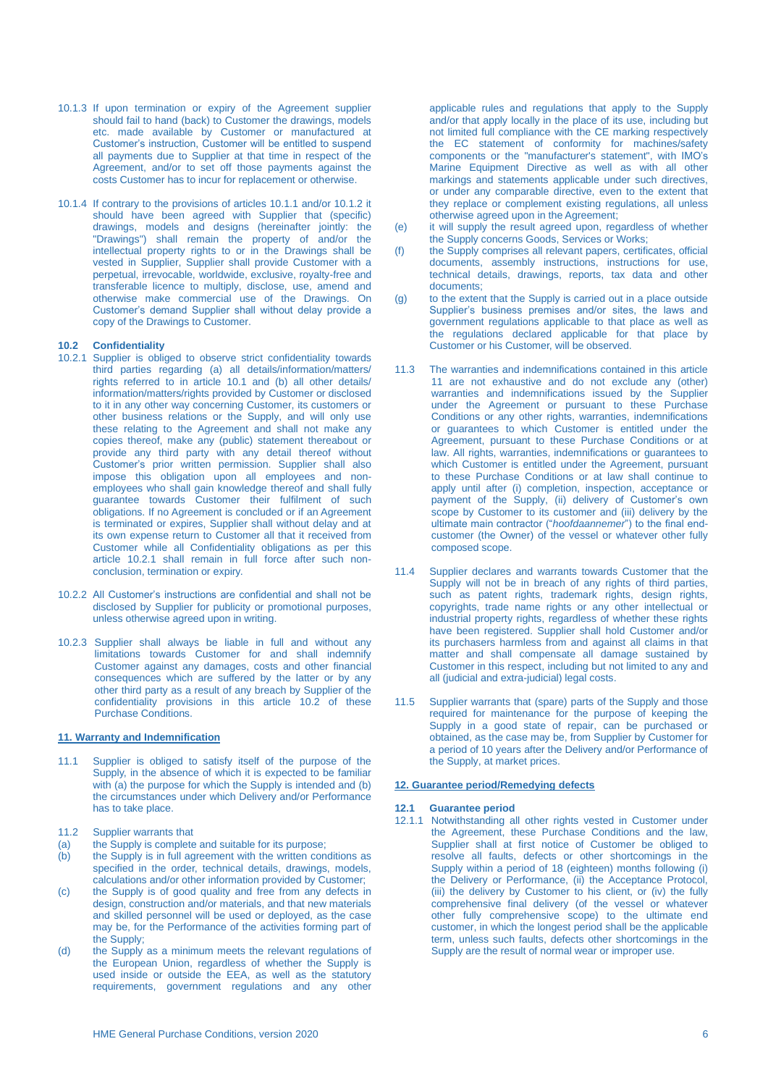- 10.1.3 If upon termination or expiry of the Agreement supplier should fail to hand (back) to Customer the drawings, models etc. made available by Customer or manufactured at Customer's instruction, Customer will be entitled to suspend all payments due to Supplier at that time in respect of the Agreement, and/or to set off those payments against the costs Customer has to incur for replacement or otherwise.
- 10.1.4 If contrary to the provisions of articles 10.1.1 and/or 10.1.2 it should have been agreed with Supplier that (specific) drawings, models and designs (hereinafter jointly: the "Drawings") shall remain the property of and/or the intellectual property rights to or in the Drawings shall be vested in Supplier, Supplier shall provide Customer with a perpetual, irrevocable, worldwide, exclusive, royalty-free and transferable licence to multiply, disclose, use, amend and otherwise make commercial use of the Drawings. On Customer's demand Supplier shall without delay provide a copy of the Drawings to Customer.

## **10.2 Confidentiality**

- 10.2.1 Supplier is obliged to observe strict confidentiality towards third parties regarding (a) all details/information/matters/ rights referred to in article 10.1 and (b) all other details/ information/matters/rights provided by Customer or disclosed to it in any other way concerning Customer, its customers or other business relations or the Supply, and will only use these relating to the Agreement and shall not make any copies thereof, make any (public) statement thereabout or provide any third party with any detail thereof without Customer's prior written permission. Supplier shall also impose this obligation upon all employees and nonemployees who shall gain knowledge thereof and shall fully guarantee towards Customer their fulfilment of such obligations. If no Agreement is concluded or if an Agreement is terminated or expires, Supplier shall without delay and at its own expense return to Customer all that it received from Customer while all Confidentiality obligations as per this article 10.2.1 shall remain in full force after such nonconclusion, termination or expiry.
- 10.2.2 All Customer's instructions are confidential and shall not be disclosed by Supplier for publicity or promotional purposes, unless otherwise agreed upon in writing.
- 10.2.3 Supplier shall always be liable in full and without any limitations towards Customer for and shall indemnify Customer against any damages, costs and other financial consequences which are suffered by the latter or by any other third party as a result of any breach by Supplier of the confidentiality provisions in this article 10.2 of these Purchase Conditions.

#### **11. Warranty and Indemnification**

- 11.1 Supplier is obliged to satisfy itself of the purpose of the Supply, in the absence of which it is expected to be familiar with (a) the purpose for which the Supply is intended and (b) the circumstances under which Delivery and/or Performance has to take place.
- 11.2 Supplier warrants that
- (a) the Supply is complete and suitable for its purpose:
- (b) the Supply is in full agreement with the written conditions as specified in the order, technical details, drawings, models, calculations and/or other information provided by Customer;
- (c) the Supply is of good quality and free from any defects in design, construction and/or materials, and that new materials and skilled personnel will be used or deployed, as the case may be, for the Performance of the activities forming part of the Supply;
- (d) the Supply as a minimum meets the relevant regulations of the European Union, regardless of whether the Supply is used inside or outside the EEA, as well as the statutory requirements, government regulations and any other

applicable rules and regulations that apply to the Supply and/or that apply locally in the place of its use, including but not limited full compliance with the CE marking respectively the EC statement of conformity for machines/safety components or the "manufacturer's statement", with IMO's Marine Equipment Directive as well as with all other markings and statements applicable under such directives, or under any comparable directive, even to the extent that they replace or complement existing regulations, all unless otherwise agreed upon in the Agreement;

- (e) it will supply the result agreed upon, regardless of whether the Supply concerns Goods, Services or Works;
- (f) the Supply comprises all relevant papers, certificates, official documents, assembly instructions, instructions for use, technical details, drawings, reports, tax data and other documents;
- (g) to the extent that the Supply is carried out in a place outside Supplier's business premises and/or sites, the laws and government regulations applicable to that place as well as the regulations declared applicable for that place by Customer or his Customer, will be observed.
- 11.3 The warranties and indemnifications contained in this article 11 are not exhaustive and do not exclude any (other) warranties and indemnifications issued by the Supplier under the Agreement or pursuant to these Purchase Conditions or any other rights, warranties, indemnifications or guarantees to which Customer is entitled under the Agreement, pursuant to these Purchase Conditions or at law. All rights, warranties, indemnifications or guarantees to which Customer is entitled under the Agreement, pursuant to these Purchase Conditions or at law shall continue to apply until after (i) completion, inspection, acceptance or payment of the Supply, (ii) delivery of Customer's own scope by Customer to its customer and (iii) delivery by the ultimate main contractor ("*hoofdaannemer*") to the final endcustomer (the Owner) of the vessel or whatever other fully composed scope.
- 11.4 Supplier declares and warrants towards Customer that the Supply will not be in breach of any rights of third parties, such as patent rights, trademark rights, design rights, copyrights, trade name rights or any other intellectual or industrial property rights, regardless of whether these rights have been registered. Supplier shall hold Customer and/or its purchasers harmless from and against all claims in that matter and shall compensate all damage sustained by Customer in this respect, including but not limited to any and all (judicial and extra-judicial) legal costs.
- 11.5 Supplier warrants that (spare) parts of the Supply and those required for maintenance for the purpose of keeping the Supply in a good state of repair, can be purchased or obtained, as the case may be, from Supplier by Customer for a period of 10 years after the Delivery and/or Performance of the Supply, at market prices.

### **12. Guarantee period/Remedying defects**

### **12.1 Guarantee period**

12.1.1 Notwithstanding all other rights vested in Customer under the Agreement, these Purchase Conditions and the law, Supplier shall at first notice of Customer be obliged to resolve all faults, defects or other shortcomings in the Supply within a period of 18 (eighteen) months following (i) the Delivery or Performance, (ii) the Acceptance Protocol, (iii) the delivery by Customer to his client, or (iv) the fully comprehensive final delivery (of the vessel or whatever other fully comprehensive scope) to the ultimate end customer, in which the longest period shall be the applicable term, unless such faults, defects other shortcomings in the Supply are the result of normal wear or improper use.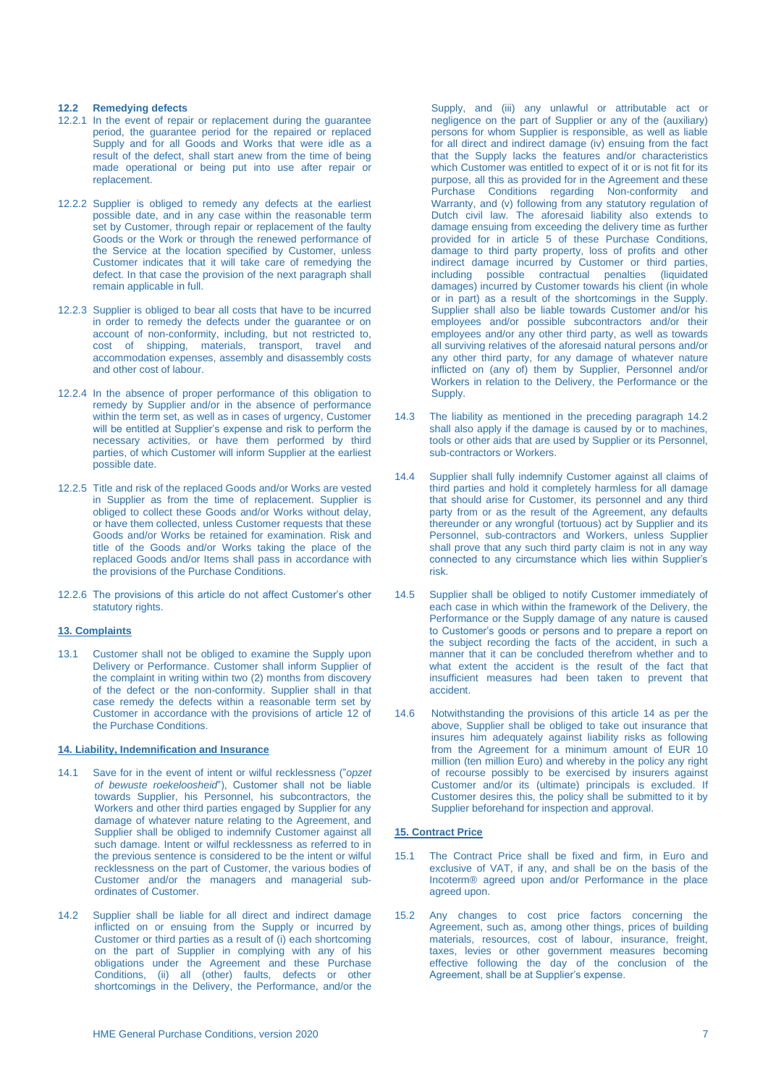### **12.2 Remedying defects**

- 12.2.1 In the event of repair or replacement during the guarantee period, the guarantee period for the repaired or replaced Supply and for all Goods and Works that were idle as a result of the defect, shall start anew from the time of being made operational or being put into use after repair or replacement.
- 12.2.2 Supplier is obliged to remedy any defects at the earliest possible date, and in any case within the reasonable term set by Customer, through repair or replacement of the faulty Goods or the Work or through the renewed performance of the Service at the location specified by Customer, unless Customer indicates that it will take care of remedying the defect. In that case the provision of the next paragraph shall remain applicable in full.
- 12.2.3 Supplier is obliged to bear all costs that have to be incurred in order to remedy the defects under the guarantee or on account of non-conformity, including, but not restricted to, cost of shipping, materials, transport, travel and accommodation expenses, assembly and disassembly costs and other cost of labour.
- 12.2.4 In the absence of proper performance of this obligation to remedy by Supplier and/or in the absence of performance within the term set, as well as in cases of urgency, Customer will be entitled at Supplier's expense and risk to perform the necessary activities, or have them performed by third parties, of which Customer will inform Supplier at the earliest possible date.
- 12.2.5 Title and risk of the replaced Goods and/or Works are vested in Supplier as from the time of replacement. Supplier is obliged to collect these Goods and/or Works without delay, or have them collected, unless Customer requests that these Goods and/or Works be retained for examination. Risk and title of the Goods and/or Works taking the place of the replaced Goods and/or Items shall pass in accordance with the provisions of the Purchase Conditions.
- 12.2.6 The provisions of this article do not affect Customer's other statutory rights.

# **13. Complaints**

13.1 Customer shall not be obliged to examine the Supply upon Delivery or Performance. Customer shall inform Supplier of the complaint in writing within two (2) months from discovery of the defect or the non-conformity. Supplier shall in that case remedy the defects within a reasonable term set by Customer in accordance with the provisions of article 12 of the Purchase Conditions.

# **14. Liability, Indemnification and Insurance**

- 14.1 Save for in the event of intent or wilful recklessness ("*opzet of bewuste roekeloosheid*"), Customer shall not be liable towards Supplier, his Personnel, his subcontractors, the Workers and other third parties engaged by Supplier for any damage of whatever nature relating to the Agreement, and Supplier shall be obliged to indemnify Customer against all such damage. Intent or wilful recklessness as referred to in the previous sentence is considered to be the intent or wilful recklessness on the part of Customer, the various bodies of Customer and/or the managers and managerial subordinates of Customer.
- 14.2 Supplier shall be liable for all direct and indirect damage inflicted on or ensuing from the Supply or incurred by Customer or third parties as a result of (i) each shortcoming on the part of Supplier in complying with any of his obligations under the Agreement and these Purchase Conditions, (ii) all (other) faults, defects or other shortcomings in the Delivery, the Performance, and/or the

Supply, and (iii) any unlawful or attributable act or negligence on the part of Supplier or any of the (auxiliary) persons for whom Supplier is responsible, as well as liable for all direct and indirect damage (iv) ensuing from the fact that the Supply lacks the features and/or characteristics which Customer was entitled to expect of it or is not fit for its purpose, all this as provided for in the Agreement and these Purchase Conditions regarding Non-conformity and Warranty, and (v) following from any statutory regulation of Dutch civil law. The aforesaid liability also extends to damage ensuing from exceeding the delivery time as further provided for in article 5 of these Purchase Conditions, damage to third party property, loss of profits and other indirect damage incurred by Customer or third parties, including possible contractual penalties (liquidated damages) incurred by Customer towards his client (in whole or in part) as a result of the shortcomings in the Supply. Supplier shall also be liable towards Customer and/or his employees and/or possible subcontractors and/or their employees and/or any other third party, as well as towards all surviving relatives of the aforesaid natural persons and/or any other third party, for any damage of whatever nature inflicted on (any of) them by Supplier, Personnel and/or Workers in relation to the Delivery, the Performance or the Supply.

- 14.3 The liability as mentioned in the preceding paragraph 14.2 shall also apply if the damage is caused by or to machines, tools or other aids that are used by Supplier or its Personnel, sub-contractors or Workers.
- 14.4 Supplier shall fully indemnify Customer against all claims of third parties and hold it completely harmless for all damage that should arise for Customer, its personnel and any third party from or as the result of the Agreement, any defaults thereunder or any wrongful (tortuous) act by Supplier and its Personnel, sub-contractors and Workers, unless Supplier shall prove that any such third party claim is not in any way connected to any circumstance which lies within Supplier's risk.
- 14.5 Supplier shall be obliged to notify Customer immediately of each case in which within the framework of the Delivery, the Performance or the Supply damage of any nature is caused to Customer's goods or persons and to prepare a report on the subject recording the facts of the accident, in such a manner that it can be concluded therefrom whether and to what extent the accident is the result of the fact that insufficient measures had been taken to prevent that accident.
- 14.6 Notwithstanding the provisions of this article 14 as per the above, Supplier shall be obliged to take out insurance that insures him adequately against liability risks as following from the Agreement for a minimum amount of EUR 10 million (ten million Euro) and whereby in the policy any right of recourse possibly to be exercised by insurers against Customer and/or its (ultimate) principals is excluded. If Customer desires this, the policy shall be submitted to it by Supplier beforehand for inspection and approval.

# **15. Contract Price**

- 15.1 The Contract Price shall be fixed and firm, in Euro and exclusive of VAT, if any, and shall be on the basis of the Incoterm® agreed upon and/or Performance in the place agreed upon.
- 15.2 Any changes to cost price factors concerning the Agreement, such as, among other things, prices of building materials, resources, cost of labour, insurance, freight, taxes, levies or other government measures becoming effective following the day of the conclusion of the Agreement, shall be at Supplier's expense.